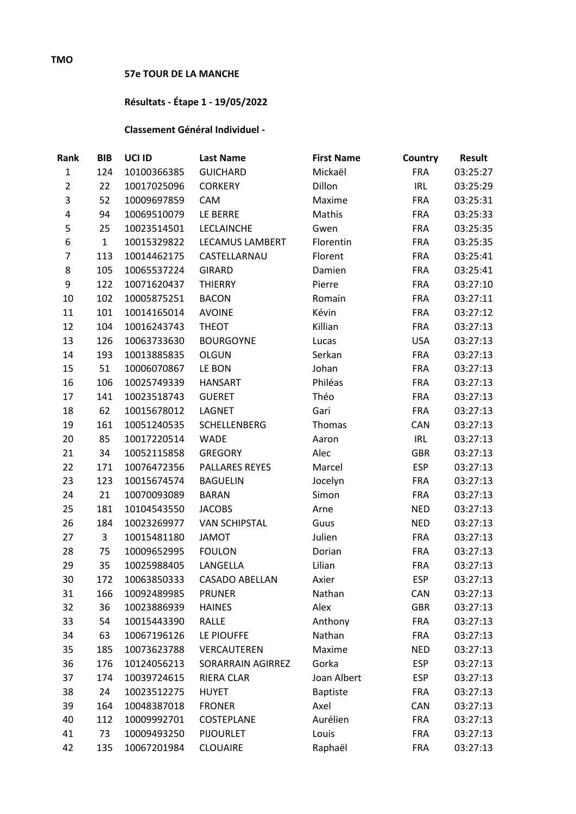## **57e TOUR DE LA MANCHE**

## **Résultats - Étape 1 - 19/05/2022**

## **Classement Général Individuel -**

| Rank           | <b>BIB</b>   | UCI ID      | <b>Last Name</b>         | <b>First Name</b> | Country    | <b>Result</b> |
|----------------|--------------|-------------|--------------------------|-------------------|------------|---------------|
| $\mathbf{1}$   | 124          | 10100366385 | <b>GUICHARD</b>          | Mickaël           | <b>FRA</b> | 03:25:27      |
| $\overline{2}$ | 22           | 10017025096 | <b>CORKERY</b>           | Dillon            | <b>IRL</b> | 03:25:29      |
| 3              | 52           | 10009697859 | CAM                      | Maxime            | <b>FRA</b> | 03:25:31      |
| 4              | 94           | 10069510079 | LE BERRE                 | Mathis            | <b>FRA</b> | 03:25:33      |
| 5              | 25           | 10023514501 | <b>LECLAINCHE</b>        | Gwen              | <b>FRA</b> | 03:25:35      |
| 6              | $\mathbf{1}$ | 10015329822 | LECAMUS LAMBERT          | Florentin         | <b>FRA</b> | 03:25:35      |
| $\overline{7}$ | 113          | 10014462175 | CASTELLARNAU             | Florent           | <b>FRA</b> | 03:25:41      |
| 8              | 105          | 10065537224 | <b>GIRARD</b>            | Damien            | <b>FRA</b> | 03:25:41      |
| 9              | 122          | 10071620437 | <b>THIERRY</b>           | Pierre            | <b>FRA</b> | 03:27:10      |
| 10             | 102          | 10005875251 | <b>BACON</b>             | Romain            | <b>FRA</b> | 03:27:11      |
| 11             | 101          | 10014165014 | <b>AVOINE</b>            | Kévin             | <b>FRA</b> | 03:27:12      |
| 12             | 104          | 10016243743 | <b>THEOT</b>             | Killian           | <b>FRA</b> | 03:27:13      |
| 13             | 126          | 10063733630 | <b>BOURGOYNE</b>         | Lucas             | <b>USA</b> | 03:27:13      |
| 14             | 193          | 10013885835 | <b>OLGUN</b>             | Serkan            | <b>FRA</b> | 03:27:13      |
| 15             | 51           | 10006070867 | LE BON                   | Johan             | <b>FRA</b> | 03:27:13      |
| 16             | 106          | 10025749339 | <b>HANSART</b>           | Philéas           | <b>FRA</b> | 03:27:13      |
| 17             | 141          | 10023518743 | <b>GUERET</b>            | Théo              | <b>FRA</b> | 03:27:13      |
| 18             | 62           | 10015678012 | LAGNET                   | Gari              | <b>FRA</b> | 03:27:13      |
| 19             | 161          | 10051240535 | <b>SCHELLENBERG</b>      | Thomas            | CAN        | 03:27:13      |
| 20             | 85           | 10017220514 | <b>WADE</b>              | Aaron             | <b>IRL</b> | 03:27:13      |
| 21             | 34           | 10052115858 | <b>GREGORY</b>           | Alec              | <b>GBR</b> | 03:27:13      |
| 22             | 171          | 10076472356 | <b>PALLARES REYES</b>    | Marcel            | <b>ESP</b> | 03:27:13      |
| 23             | 123          | 10015674574 | <b>BAGUELIN</b>          | Jocelyn           | <b>FRA</b> | 03:27:13      |
| 24             | 21           | 10070093089 | <b>BARAN</b>             | Simon             | <b>FRA</b> | 03:27:13      |
| 25             | 181          | 10104543550 | <b>JACOBS</b>            | Arne              | <b>NED</b> | 03:27:13      |
| 26             | 184          | 10023269977 | <b>VAN SCHIPSTAL</b>     | Guus              | <b>NED</b> | 03:27:13      |
| 27             | 3            | 10015481180 | <b>JAMOT</b>             | Julien            | <b>FRA</b> | 03:27:13      |
| 28             | 75           | 10009652995 | <b>FOULON</b>            | Dorian            | <b>FRA</b> | 03:27:13      |
| 29             | 35           | 10025988405 | LANGELLA                 | Lilian            | <b>FRA</b> | 03:27:13      |
| 30             | 172          | 10063850333 | <b>CASADO ABELLAN</b>    | Axier             | <b>ESP</b> | 03:27:13      |
| 31             | 166          | 10092489985 | <b>PRUNER</b>            | Nathan            | CAN        | 03:27:13      |
| 32             | 36           | 10023886939 | <b>HAINES</b>            | Alex              | <b>GBR</b> | 03:27:13      |
| 33             | 54           | 10015443390 | RALLE                    | Anthony           | <b>FRA</b> | 03:27:13      |
| 34             | 63           | 10067196126 | LE PIOUFFE               | Nathan            | <b>FRA</b> | 03:27:13      |
| 35             | 185          | 10073623788 | VERCAUTEREN              | Maxime            | <b>NED</b> | 03:27:13      |
| 36             | 176          | 10124056213 | <b>SORARRAIN AGIRREZ</b> | Gorka             | <b>ESP</b> | 03:27:13      |
| 37             | 174          | 10039724615 | <b>RIERA CLAR</b>        | Joan Albert       | <b>ESP</b> | 03:27:13      |
| 38             | 24           | 10023512275 | <b>HUYET</b>             | <b>Baptiste</b>   | <b>FRA</b> | 03:27:13      |
| 39             | 164          | 10048387018 | <b>FRONER</b>            | Axel              | CAN        | 03:27:13      |
| 40             | 112          | 10009992701 | COSTEPLANE               | Aurélien          | <b>FRA</b> | 03:27:13      |
| 41             | 73           | 10009493250 | <b>PIJOURLET</b>         | Louis             | <b>FRA</b> | 03:27:13      |
| 42             | 135          | 10067201984 | <b>CLOUAIRE</b>          | Raphaël           | <b>FRA</b> | 03:27:13      |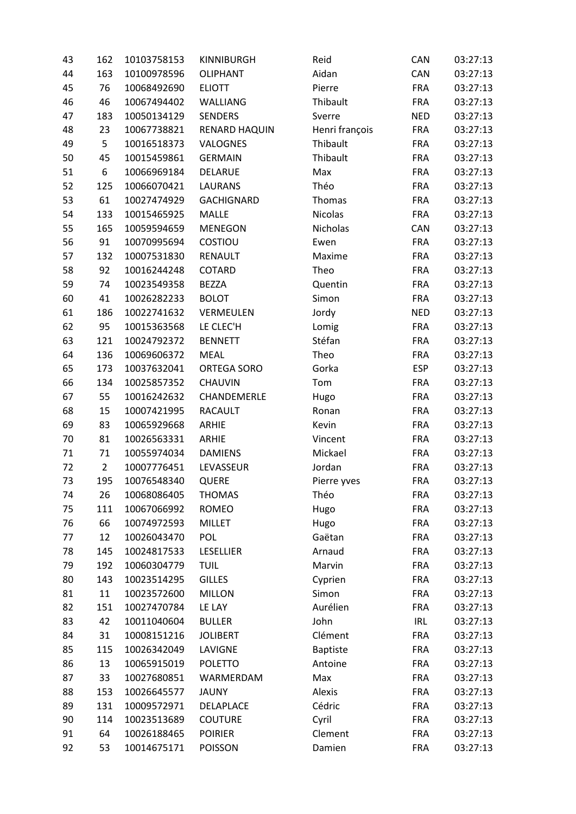| 43 | 162            | 10103758153 | <b>KINNIBURGH</b> | Reid            | CAN        | 03:27:13 |
|----|----------------|-------------|-------------------|-----------------|------------|----------|
| 44 | 163            | 10100978596 | <b>OLIPHANT</b>   | Aidan           | CAN        | 03:27:13 |
| 45 | 76             | 10068492690 | <b>ELIOTT</b>     | Pierre          | <b>FRA</b> | 03:27:13 |
| 46 | 46             | 10067494402 | WALLIANG          | Thibault        | <b>FRA</b> | 03:27:13 |
| 47 | 183            | 10050134129 | <b>SENDERS</b>    | Sverre          | <b>NED</b> | 03:27:13 |
| 48 | 23             | 10067738821 | RENARD HAQUIN     | Henri françois  | <b>FRA</b> | 03:27:13 |
| 49 | 5              | 10016518373 | VALOGNES          | Thibault        | <b>FRA</b> | 03:27:13 |
| 50 | 45             | 10015459861 | <b>GERMAIN</b>    | Thibault        | <b>FRA</b> | 03:27:13 |
| 51 | 6              | 10066969184 | DELARUE           | Max             | <b>FRA</b> | 03:27:13 |
| 52 | 125            | 10066070421 | <b>LAURANS</b>    | Théo            | <b>FRA</b> | 03:27:13 |
| 53 | 61             | 10027474929 | <b>GACHIGNARD</b> | Thomas          | <b>FRA</b> | 03:27:13 |
| 54 | 133            | 10015465925 | MALLE             | Nicolas         | <b>FRA</b> | 03:27:13 |
| 55 | 165            | 10059594659 | <b>MENEGON</b>    | Nicholas        | <b>CAN</b> | 03:27:13 |
| 56 | 91             | 10070995694 | COSTIOU           | Ewen            | <b>FRA</b> | 03:27:13 |
| 57 | 132            | 10007531830 | <b>RENAULT</b>    | Maxime          | <b>FRA</b> | 03:27:13 |
| 58 | 92             | 10016244248 | COTARD            | Theo            | <b>FRA</b> | 03:27:13 |
| 59 | 74             | 10023549358 | <b>BEZZA</b>      | Quentin         | <b>FRA</b> | 03:27:13 |
| 60 | 41             | 10026282233 | <b>BOLOT</b>      | Simon           | <b>FRA</b> | 03:27:13 |
| 61 | 186            | 10022741632 | VERMEULEN         | Jordy           | <b>NED</b> | 03:27:13 |
| 62 | 95             | 10015363568 | LE CLEC'H         | Lomig           | <b>FRA</b> | 03:27:13 |
| 63 | 121            | 10024792372 | <b>BENNETT</b>    | Stéfan          | <b>FRA</b> | 03:27:13 |
| 64 | 136            | 10069606372 | <b>MEAL</b>       | Theo            | <b>FRA</b> | 03:27:13 |
| 65 | 173            | 10037632041 | ORTEGA SORO       | Gorka           | <b>ESP</b> | 03:27:13 |
| 66 | 134            | 10025857352 | <b>CHAUVIN</b>    | Tom             | <b>FRA</b> | 03:27:13 |
| 67 | 55             | 10016242632 | CHANDEMERLE       | Hugo            | <b>FRA</b> | 03:27:13 |
| 68 | 15             | 10007421995 | <b>RACAULT</b>    | Ronan           | <b>FRA</b> | 03:27:13 |
| 69 | 83             | 10065929668 | ARHIE             | Kevin           | <b>FRA</b> | 03:27:13 |
| 70 | 81             | 10026563331 | ARHIE             | Vincent         | <b>FRA</b> | 03:27:13 |
| 71 | 71             | 10055974034 | <b>DAMIENS</b>    | Mickael         | <b>FRA</b> | 03:27:13 |
| 72 | $\overline{2}$ | 10007776451 | LEVASSEUR         | Jordan          | <b>FRA</b> | 03:27:13 |
| 73 | 195            | 10076548340 | QUERE             | Pierre yves     | <b>FRA</b> | 03:27:13 |
| 74 | 26             | 10068086405 | <b>THOMAS</b>     | Théo            | <b>FRA</b> | 03:27:13 |
| 75 | 111            | 10067066992 | <b>ROMEO</b>      | Hugo            | <b>FRA</b> | 03:27:13 |
| 76 | 66             | 10074972593 | <b>MILLET</b>     | Hugo            | <b>FRA</b> | 03:27:13 |
| 77 | 12             | 10026043470 | <b>POL</b>        | Gaëtan          | <b>FRA</b> | 03:27:13 |
| 78 | 145            | 10024817533 | LESELLIER         | Arnaud          | <b>FRA</b> | 03:27:13 |
| 79 | 192            | 10060304779 | <b>TUIL</b>       | Marvin          | <b>FRA</b> | 03:27:13 |
| 80 | 143            | 10023514295 | <b>GILLES</b>     | Cyprien         | <b>FRA</b> | 03:27:13 |
| 81 | 11             | 10023572600 | <b>MILLON</b>     | Simon           | <b>FRA</b> | 03:27:13 |
| 82 | 151            | 10027470784 | LE LAY            | Aurélien        | <b>FRA</b> | 03:27:13 |
| 83 | 42             | 10011040604 | <b>BULLER</b>     | John            | <b>IRL</b> | 03:27:13 |
| 84 | 31             | 10008151216 | <b>JOLIBERT</b>   | Clément         | <b>FRA</b> | 03:27:13 |
| 85 | 115            | 10026342049 | LAVIGNE           | <b>Baptiste</b> | <b>FRA</b> | 03:27:13 |
| 86 | 13             | 10065915019 | <b>POLETTO</b>    | Antoine         | <b>FRA</b> | 03:27:13 |
| 87 | 33             | 10027680851 | WARMERDAM         | Max             | <b>FRA</b> | 03:27:13 |
| 88 | 153            | 10026645577 | <b>JAUNY</b>      | Alexis          | <b>FRA</b> | 03:27:13 |
| 89 | 131            | 10009572971 | DELAPLACE         | Cédric          | <b>FRA</b> | 03:27:13 |
| 90 | 114            | 10023513689 | <b>COUTURE</b>    | Cyril           | <b>FRA</b> | 03:27:13 |
| 91 | 64             | 10026188465 | <b>POIRIER</b>    | Clement         | <b>FRA</b> | 03:27:13 |
| 92 | 53             | 10014675171 | <b>POISSON</b>    | Damien          | <b>FRA</b> | 03:27:13 |
|    |                |             |                   |                 |            |          |